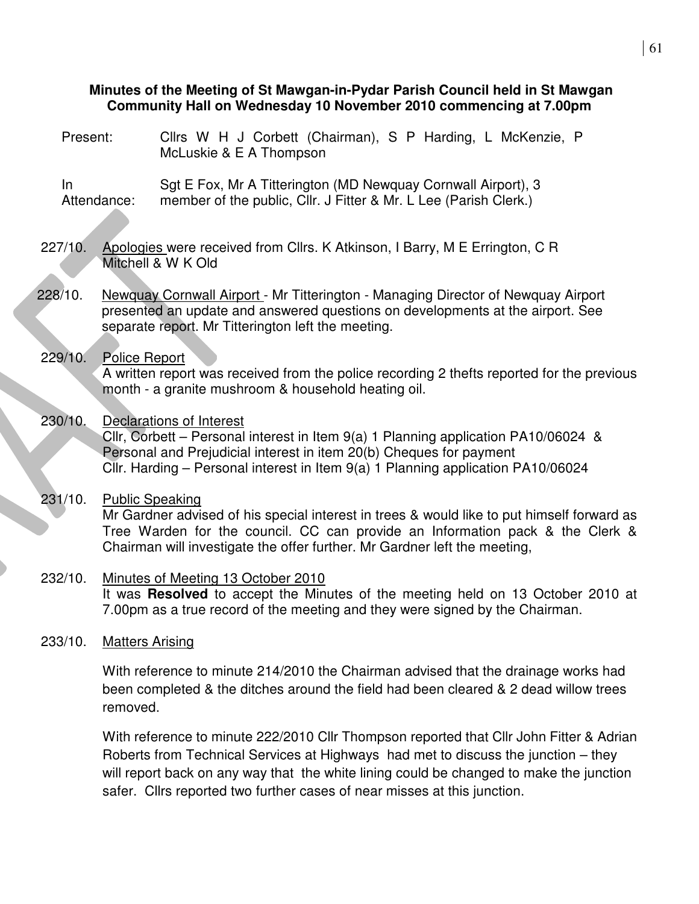## **Minutes of the Meeting of St Mawgan-in-Pydar Parish Council held in St Mawgan Community Hall on Wednesday 10 November 2010 commencing at 7.00pm**

Present: Cllrs W H J Corbett (Chairman), S P Harding, L McKenzie, P McLuskie & E A Thompson In Attendance: Sgt E Fox, Mr A Titterington (MD Newquay Cornwall Airport), 3 member of the public, Cllr. J Fitter & Mr. L Lee (Parish Clerk.) 227/10. Apologies were received from Cllrs. K Atkinson, I Barry, M E Errington, C R Mitchell & W K Old 228/10. Newquay Cornwall Airport - Mr Titterington - Managing Director of Newquay Airport presented an update and answered questions on developments at the airport. See separate report. Mr Titterington left the meeting. 229/10. Police Report A written report was received from the police recording 2 thefts reported for the previous month - a granite mushroom & household heating oil. 230/10. Declarations of Interest Cllr, Corbett – Personal interest in Item  $9(a)$  1 Planning application PA10/06024 & Personal and Prejudicial interest in item 20(b) Cheques for payment Cllr. Harding – Personal interest in Item 9(a) 1 Planning application PA10/06024 231/10. Public Speaking Mr Gardner advised of his special interest in trees & would like to put himself forward as Tree Warden for the council. CC can provide an Information pack & the Clerk & Chairman will investigate the offer further. Mr Gardner left the meeting, 232/10. Minutes of Meeting 13 October 2010 It was **Resolved** to accept the Minutes of the meeting held on 13 October 2010 at 7.00pm as a true record of the meeting and they were signed by the Chairman. 233/10. Matters Arising With reference to minute 214/2010 the Chairman advised that the drainage works had been completed & the ditches around the field had been cleared & 2 dead willow trees removed.

> With reference to minute 222/2010 Cllr Thompson reported that Cllr John Fitter & Adrian Roberts from Technical Services at Highways had met to discuss the junction – they will report back on any way that the white lining could be changed to make the junction safer. Cllrs reported two further cases of near misses at this junction.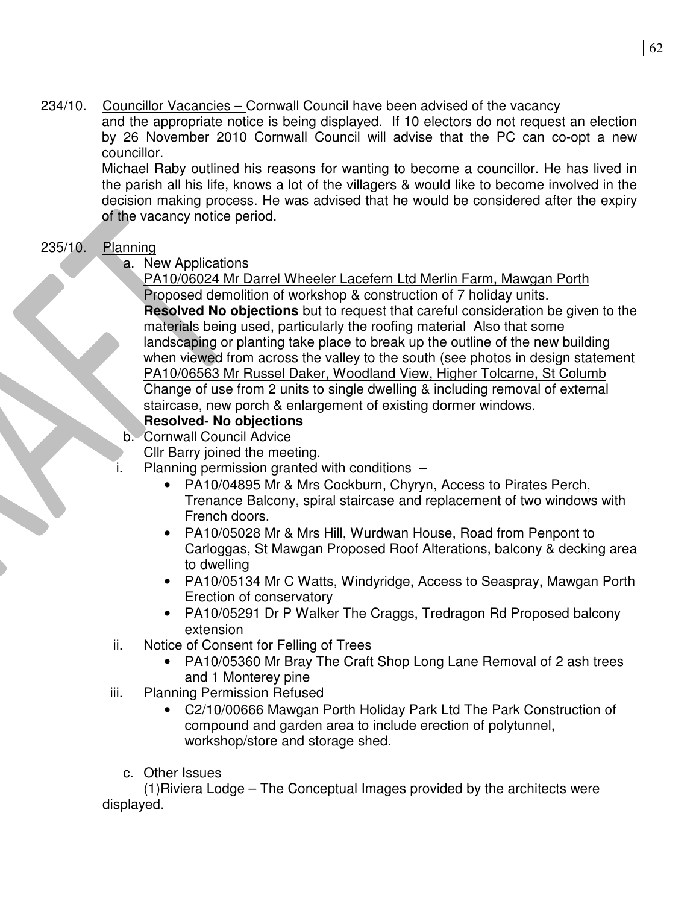234/10. Councillor Vacancies – Cornwall Council have been advised of the vacancy and the appropriate notice is being displayed. If 10 electors do not request an election by 26 November 2010 Cornwall Council will advise that the PC can co-opt a new councillor.

> Michael Raby outlined his reasons for wanting to become a councillor. He has lived in the parish all his life, knows a lot of the villagers & would like to become involved in the decision making process. He was advised that he would be considered after the expiry of the vacancy notice period.

# 235/10. Planning

a. New Applications

PA10/06024 Mr Darrel Wheeler Lacefern Ltd Merlin Farm, Mawgan Porth Proposed demolition of workshop & construction of 7 holiday units. **Resolved No objections** but to request that careful consideration be given to the materials being used, particularly the roofing material Also that some landscaping or planting take place to break up the outline of the new building when viewed from across the valley to the south (see photos in design statement PA10/06563 Mr Russel Daker, Woodland View, Higher Tolcarne, St Columb Change of use from 2 units to single dwelling & including removal of external staircase, new porch & enlargement of existing dormer windows.

# **Resolved- No objections**

b. Cornwall Council Advice

Cllr Barry joined the meeting.

- i. Planning permission granted with conditions
	- PA10/04895 Mr & Mrs Cockburn, Chyryn, Access to Pirates Perch, Trenance Balcony, spiral staircase and replacement of two windows with French doors.
	- PA10/05028 Mr & Mrs Hill, Wurdwan House, Road from Penpont to Carloggas, St Mawgan Proposed Roof Alterations, balcony & decking area to dwelling
	- PA10/05134 Mr C Watts, Windyridge, Access to Seaspray, Mawgan Porth Erection of conservatory
	- PA10/05291 Dr P Walker The Craggs, Tredragon Rd Proposed balcony extension
- ii. Notice of Consent for Felling of Trees
	- PA10/05360 Mr Bray The Craft Shop Long Lane Removal of 2 ash trees and 1 Monterey pine
- iii. Planning Permission Refused
	- C2/10/00666 Mawgan Porth Holiday Park Ltd The Park Construction of compound and garden area to include erection of polytunnel, workshop/store and storage shed.
	- c. Other Issues

(1)Riviera Lodge – The Conceptual Images provided by the architects were displayed.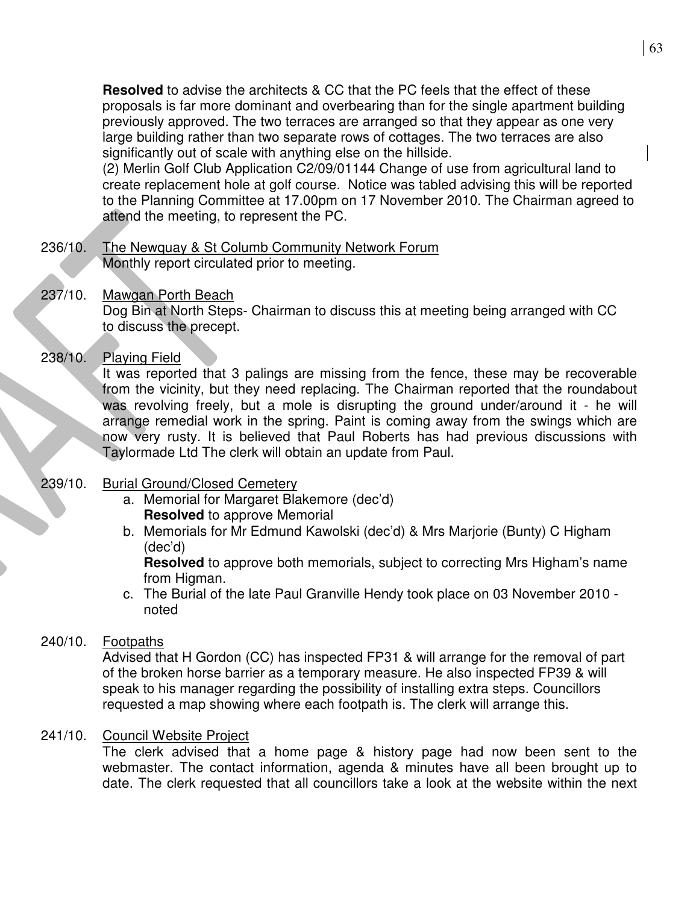63

**Resolved** to advise the architects & CC that the PC feels that the effect of these proposals is far more dominant and overbearing than for the single apartment building previously approved. The two terraces are arranged so that they appear as one very large building rather than two separate rows of cottages. The two terraces are also significantly out of scale with anything else on the hillside.

(2) Merlin Golf Club Application C2/09/01144 Change of use from agricultural land to create replacement hole at golf course. Notice was tabled advising this will be reported to the Planning Committee at 17.00pm on 17 November 2010. The Chairman agreed to attend the meeting, to represent the PC.

236/10. The Newquay & St Columb Community Network Forum Monthly report circulated prior to meeting.

## 237/10. Mawgan Porth Beach

Dog Bin at North Steps- Chairman to discuss this at meeting being arranged with CC to discuss the precept.

## 238/10. Playing Field

It was reported that 3 palings are missing from the fence, these may be recoverable from the vicinity, but they need replacing. The Chairman reported that the roundabout was revolving freely, but a mole is disrupting the ground under/around it - he will arrange remedial work in the spring. Paint is coming away from the swings which are now  $\overline{\mathbf{v}}$ ery rusty. It is believed that Paul Roberts has had previous discussions with Taylormade Ltd The clerk will obtain an update from Paul.

## 239/10. Burial Ground/Closed Cemetery

- a. Memorial for Margaret Blakemore (dec'd) **Resolved** to approve Memorial
- b. Memorials for Mr Edmund Kawolski (dec'd) & Mrs Marjorie (Bunty) C Higham (dec'd)

**Resolved** to approve both memorials, subject to correcting Mrs Higham's name from Higman.

c. The Burial of the late Paul Granville Hendy took place on 03 November 2010 noted

# 240/10. Footpaths

Advised that H Gordon (CC) has inspected FP31 & will arrange for the removal of part of the broken horse barrier as a temporary measure. He also inspected FP39 & will speak to his manager regarding the possibility of installing extra steps. Councillors requested a map showing where each footpath is. The clerk will arrange this.

## 241/10. Council Website Project

The clerk advised that a home page & history page had now been sent to the webmaster. The contact information, agenda & minutes have all been brought up to date. The clerk requested that all councillors take a look at the website within the next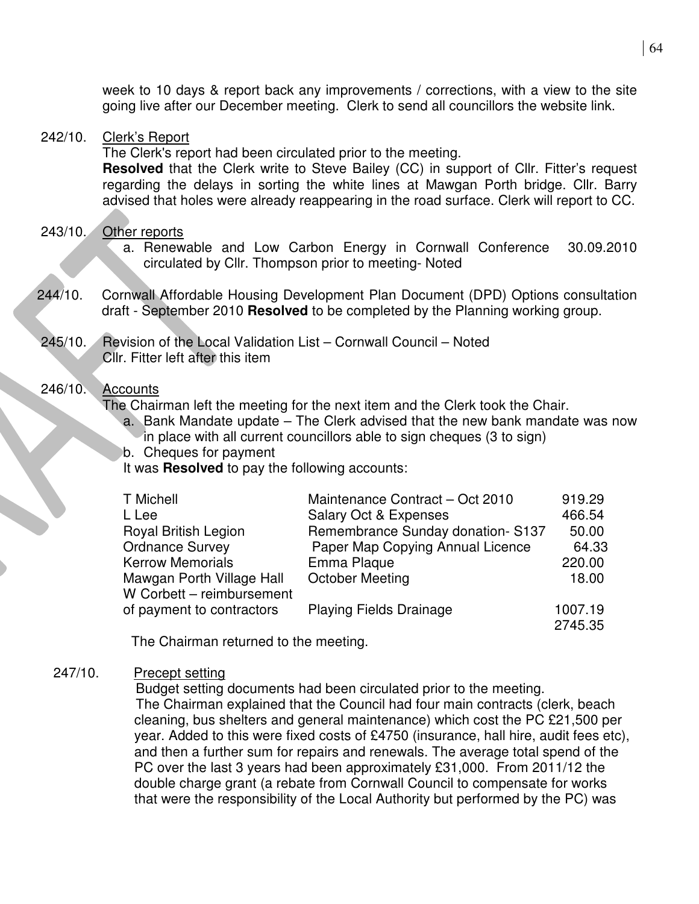week to 10 days & report back any improvements / corrections, with a view to the site going live after our December meeting. Clerk to send all councillors the website link.

#### 242/10. Clerk's Report

The Clerk's report had been circulated prior to the meeting.

**Resolved** that the Clerk write to Steve Bailey (CC) in support of Cllr. Fitter's request regarding the delays in sorting the white lines at Mawgan Porth bridge. Cllr. Barry advised that holes were already reappearing in the road surface. Clerk will report to CC.

## 243/10. Other reports

- a. Renewable and Low Carbon Energy in Cornwall Conference 30.09.2010 circulated by Cllr. Thompson prior to meeting- Noted
- 244/10. Cornwall Affordable Housing Development Plan Document (DPD) Options consultation draft - September 2010 **Resolved** to be completed by the Planning working group.
- 245/10. Revision of the Local Validation List Cornwall Council Noted Cllr. Fitter left after this item

## 246/10. Accounts

The Chairman left the meeting for the next item and the Clerk took the Chair.

- a. Bank Mandate update The Clerk advised that the new bank mandate was now in place with all current councillors able to sign cheques (3 to sign)
- b. Cheques for payment

It was **Resolved** to pay the following accounts:

| T Michell                 | Maintenance Contract - Oct 2010  | 919.29  |
|---------------------------|----------------------------------|---------|
| L Lee                     | <b>Salary Oct &amp; Expenses</b> | 466.54  |
| Royal British Legion      | Remembrance Sunday donation-S137 | 50.00   |
| <b>Ordnance Survey</b>    | Paper Map Copying Annual Licence | 64.33   |
| <b>Kerrow Memorials</b>   | Emma Plaque                      | 220.00  |
| Mawgan Porth Village Hall | <b>October Meeting</b>           | 18.00   |
| W Corbett - reimbursement |                                  |         |
| of payment to contractors | <b>Playing Fields Drainage</b>   | 1007.19 |
|                           |                                  | 2745.35 |

The Chairman returned to the meeting.

## 247/10. Precept setting

 Budget setting documents had been circulated prior to the meeting. The Chairman explained that the Council had four main contracts (clerk, beach cleaning, bus shelters and general maintenance) which cost the PC £21,500 per year. Added to this were fixed costs of £4750 (insurance, hall hire, audit fees etc), and then a further sum for repairs and renewals. The average total spend of the PC over the last 3 years had been approximately £31,000. From 2011/12 the double charge grant (a rebate from Cornwall Council to compensate for works that were the responsibility of the Local Authority but performed by the PC) was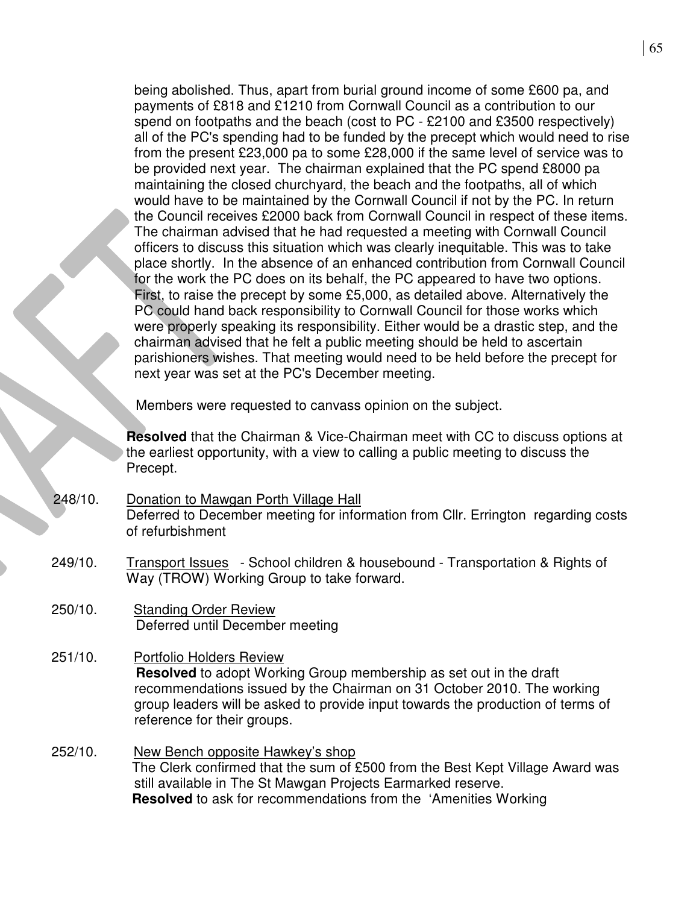|         | being abolished. Thus, apart from burial ground income of some £600 pa, and<br>payments of £818 and £1210 from Cornwall Council as a contribution to our<br>spend on footpaths and the beach (cost to PC - £2100 and £3500 respectively)<br>all of the PC's spending had to be funded by the precept which would need to rise<br>from the present £23,000 pa to some £28,000 if the same level of service was to<br>be provided next year. The chairman explained that the PC spend £8000 pa<br>maintaining the closed churchyard, the beach and the footpaths, all of which<br>would have to be maintained by the Cornwall Council if not by the PC. In return<br>the Council receives £2000 back from Cornwall Council in respect of these items.<br>The chairman advised that he had requested a meeting with Cornwall Council<br>officers to discuss this situation which was clearly inequitable. This was to take<br>place shortly. In the absence of an enhanced contribution from Cornwall Council<br>for the work the PC does on its behalf, the PC appeared to have two options.<br>First, to raise the precept by some £5,000, as detailed above. Alternatively the<br>PC could hand back responsibility to Cornwall Council for those works which<br>were properly speaking its responsibility. Either would be a drastic step, and the<br>chairman advised that he felt a public meeting should be held to ascertain<br>parishioners wishes. That meeting would need to be held before the precept for<br>next year was set at the PC's December meeting. |
|---------|------------------------------------------------------------------------------------------------------------------------------------------------------------------------------------------------------------------------------------------------------------------------------------------------------------------------------------------------------------------------------------------------------------------------------------------------------------------------------------------------------------------------------------------------------------------------------------------------------------------------------------------------------------------------------------------------------------------------------------------------------------------------------------------------------------------------------------------------------------------------------------------------------------------------------------------------------------------------------------------------------------------------------------------------------------------------------------------------------------------------------------------------------------------------------------------------------------------------------------------------------------------------------------------------------------------------------------------------------------------------------------------------------------------------------------------------------------------------------------------------------------------------------------------------------------------------|
|         | Members were requested to canvass opinion on the subject.                                                                                                                                                                                                                                                                                                                                                                                                                                                                                                                                                                                                                                                                                                                                                                                                                                                                                                                                                                                                                                                                                                                                                                                                                                                                                                                                                                                                                                                                                                              |
|         | <b>Resolved</b> that the Chairman & Vice-Chairman meet with CC to discuss options at<br>the earliest opportunity, with a view to calling a public meeting to discuss the<br>Precept.                                                                                                                                                                                                                                                                                                                                                                                                                                                                                                                                                                                                                                                                                                                                                                                                                                                                                                                                                                                                                                                                                                                                                                                                                                                                                                                                                                                   |
| 248/10. | Donation to Mawgan Porth Village Hall<br>Deferred to December meeting for information from Cllr. Errington regarding costs<br>of refurbishment                                                                                                                                                                                                                                                                                                                                                                                                                                                                                                                                                                                                                                                                                                                                                                                                                                                                                                                                                                                                                                                                                                                                                                                                                                                                                                                                                                                                                         |
| 249/10. | Transport Issues - School children & housebound - Transportation & Rights of<br>Way (TROW) Working Group to take forward.                                                                                                                                                                                                                                                                                                                                                                                                                                                                                                                                                                                                                                                                                                                                                                                                                                                                                                                                                                                                                                                                                                                                                                                                                                                                                                                                                                                                                                              |
| 250/10. | <b>Standing Order Review</b><br>Deferred until December meeting                                                                                                                                                                                                                                                                                                                                                                                                                                                                                                                                                                                                                                                                                                                                                                                                                                                                                                                                                                                                                                                                                                                                                                                                                                                                                                                                                                                                                                                                                                        |
| 251/10. | Portfolio Holders Review<br><b>Resolved</b> to adopt Working Group membership as set out in the draft<br>recommendations issued by the Chairman on 31 October 2010. The working<br>group leaders will be asked to provide input towards the production of terms of<br>reference for their groups.                                                                                                                                                                                                                                                                                                                                                                                                                                                                                                                                                                                                                                                                                                                                                                                                                                                                                                                                                                                                                                                                                                                                                                                                                                                                      |
| 252/10. | New Bench opposite Hawkey's shop<br>The Clerk confirmed that the sum of £500 from the Best Kept Village Award was<br>still available in The St Mawgan Projects Earmarked reserve.<br><b>Resolved</b> to ask for recommendations from the 'Amenities Working                                                                                                                                                                                                                                                                                                                                                                                                                                                                                                                                                                                                                                                                                                                                                                                                                                                                                                                                                                                                                                                                                                                                                                                                                                                                                                            |
|         |                                                                                                                                                                                                                                                                                                                                                                                                                                                                                                                                                                                                                                                                                                                                                                                                                                                                                                                                                                                                                                                                                                                                                                                                                                                                                                                                                                                                                                                                                                                                                                        |